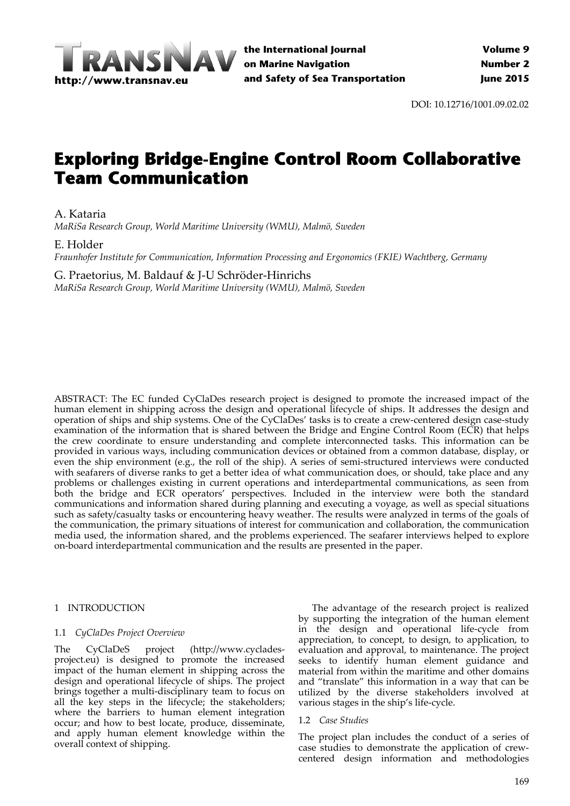

DOI: 10.12716/1001.09.02.02

# **Exploring Bridge-Engine Control Room Collaborative Team Communication**

A. Kataria

*MaRiSa Research Group, World Maritime University (WMU), Malmö, Sweden*

E. Holder

*Fraunhofer Institute for Communication, Information Processing and Ergonomics (FKIE) Wachtberg, Germany*

# G. Praetorius, M. Baldauf & J‐U Schröder‐Hinrichs

*MaRiSa Research Group, World Maritime University (WMU), Malmö, Sweden*

ABSTRACT: The EC funded CyClaDes research project is designed to promote the increased impact of the human element in shipping across the design and operational lifecycle of ships. It addresses the design and operation of ships and ship systems. One of the CyClaDes' tasks is to create a crew‐centered design case‐study examination of the information that is shared between the Bridge and Engine Control Room (ECR) that helps the crew coordinate to ensure understanding and complete interconnected tasks. This information can be provided in various ways, including communication devices or obtained from a common database, display, or even the ship environment (e.g., the roll of the ship). A series of semi-structured interviews were conducted with seafarers of diverse ranks to get a better idea of what communication does, or should, take place and any problems or challenges existing in current operations and interdepartmental communications, as seen from both the bridge and ECR operators' perspectives. Included in the interview were both the standard communications and information shared during planning and executing a voyage, as well as special situations such as safety/casualty tasks or encountering heavy weather. The results were analyzed in terms of the goals of the communication, the primary situations of interest for communication and collaboration, the communication media used, the information shared, and the problems experienced. The seafarer interviews helped to explore on‐board interdepartmental communication and the results are presented in the paper.

## 1 INTRODUCTION

## 1.1 *CyClaDes Project Overview*

The CyClaDeS project (http://www.cyclades‐ project.eu) is designed to promote the increased impact of the human element in shipping across the design and operational lifecycle of ships. The project brings together a multi‐disciplinary team to focus on all the key steps in the lifecycle; the stakeholders; where the barriers to human element integration occur; and how to best locate, produce, disseminate, and apply human element knowledge within the overall context of shipping.

The advantage of the research project is realized by supporting the integration of the human element in the design and operational life‐cycle from appreciation, to concept, to design, to application, to evaluation and approval, to maintenance. The project seeks to identify human element guidance and material from within the maritime and other domains and "translate" this information in a way that can be utilized by the diverse stakeholders involved at various stages in the ship's life‐cycle.

## 1.2 *Case Studies*

The project plan includes the conduct of a series of case studies to demonstrate the application of crew‐ centered design information and methodologies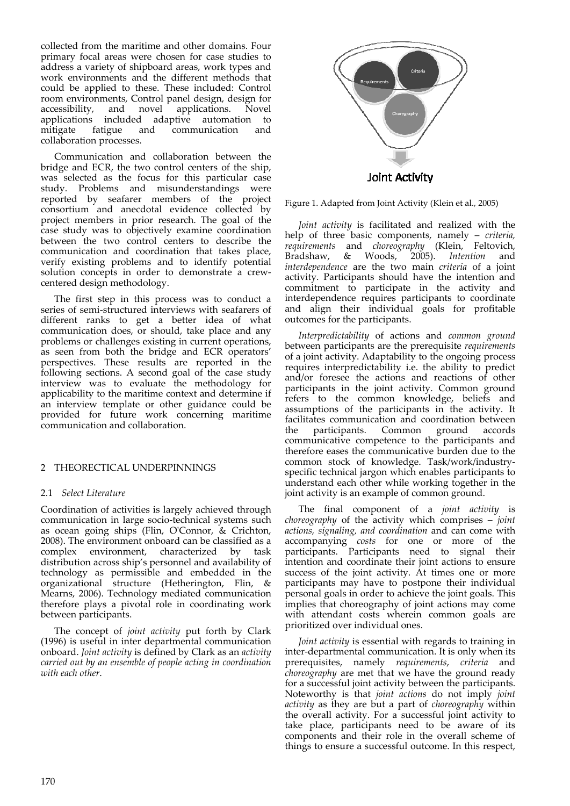collected from the maritime and other domains. Four primary focal areas were chosen for case studies to address a variety of shipboard areas, work types and work environments and the different methods that could be applied to these. These included: Control room environments, Control panel design, design for<br>accessibility, and novel applications. Novel accessibility, and novel applications. Novel applications included adaptive automation to<br>mitigate fatigue and communication and mitigate fatigue and communication collaboration processes.

Communication and collaboration between the bridge and ECR, the two control centers of the ship, was selected as the focus for this particular case study. Problems and misunderstandings were reported by seafarer members of the project consortium and anecdotal evidence collected by project members in prior research. The goal of the case study was to objectively examine coordination between the two control centers to describe the communication and coordination that takes place, verify existing problems and to identify potential solution concepts in order to demonstrate a crewcentered design methodology.

The first step in this process was to conduct a series of semi‐structured interviews with seafarers of different ranks to get a better idea of what communication does, or should, take place and any problems or challenges existing in current operations, as seen from both the bridge and ECR operators' perspectives. These results are reported in the following sections. A second goal of the case study interview was to evaluate the methodology for applicability to the maritime context and determine if an interview template or other guidance could be provided for future work concerning maritime communication and collaboration.

## 2 THEORECTICAL UNDERPINNINGS

## 2.1 *Select Literature*

Coordination of activities is largely achieved through communication in large socio‐technical systems such as ocean going ships (Flin, OʹConnor, & Crichton, 2008). The environment onboard can be classified as a complex environment, characterized by task distribution across ship's personnel and availability of technology as permissible and embedded in the organizational structure (Hetherington, Flin, & Mearns, 2006). Technology mediated communication therefore plays a pivotal role in coordinating work between participants.

The concept of *joint activity* put forth by Clark (1996) is useful in inter departmental communication onboard. *Joint activity* is defined by Clark as an *activity carried out by an ensemble of people acting in coordination with each other*.



Figure 1. Adapted from Joint Activity (Klein et al., 2005)

*Joint activity* is facilitated and realized with the help of three basic components, namely – *criteria, requirements* and *choreography* (Klein, Feltovich, Bradshaw, & Woods, 2005). *Intention* and *interdependence* are the two main *criteria* of a joint activity. Participants should have the intention and commitment to participate in the activity and interdependence requires participants to coordinate and align their individual goals for profitable outcomes for the participants.

*Interpredictability* of actions and *common ground* between participants are the prerequisite *requirements* of a joint activity. Adaptability to the ongoing process requires interpredictability i.e. the ability to predict and/or foresee the actions and reactions of other participants in the joint activity. Common ground refers to the common knowledge, beliefs and assumptions of the participants in the activity. It facilitates communication and coordination between<br>the participants. Common ground accords the participants. Common ground communicative competence to the participants and therefore eases the communicative burden due to the common stock of knowledge. Task/work/industry‐ specific technical jargon which enables participants to understand each other while working together in the joint activity is an example of common ground.

The final component of a *joint activity* is *choreography* of the activity which comprises – *joint actions, signaling, and coordination* and can come with accompanying *costs* for one or more of the participants. Participants need to signal their intention and coordinate their joint actions to ensure success of the joint activity. At times one or more participants may have to postpone their individual personal goals in order to achieve the joint goals. This implies that choreography of joint actions may come with attendant costs wherein common goals are prioritized over individual ones.

*Joint activity* is essential with regards to training in inter-departmental communication. It is only when its prerequisites, namely *requirements*, *criteria* and *choreography* are met that we have the ground ready for a successful joint activity between the participants. Noteworthy is that *joint actions* do not imply *joint activity* as they are but a part of *choreography* within the overall activity. For a successful joint activity to take place, participants need to be aware of its components and their role in the overall scheme of things to ensure a successful outcome. In this respect,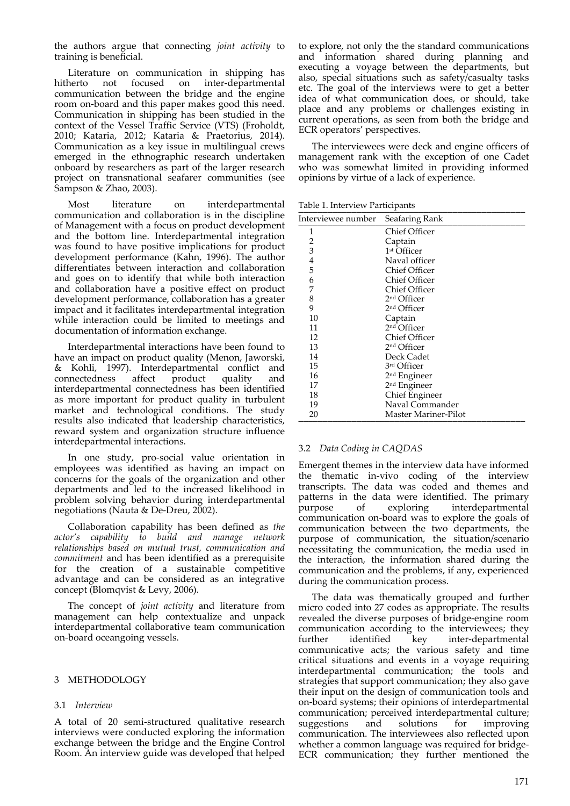the authors argue that connecting *joint activity* to training is beneficial.

Literature on communication in shipping has<br>hitherto not focused on inter-departmental on inter-departmental communication between the bridge and the engine room on‐board and this paper makes good this need. Communication in shipping has been studied in the context of the Vessel Traffic Service (VTS) (Froholdt, 2010; Kataria, 2012; Kataria & Praetorius, 2014). Communication as a key issue in multilingual crews emerged in the ethnographic research undertaken onboard by researchers as part of the larger research project on transnational seafarer communities (see Sampson & Zhao, 2003).

Most literature on interdepartmental communication and collaboration is in the discipline of Management with a focus on product development and the bottom line. Interdepartmental integration was found to have positive implications for product development performance (Kahn, 1996). The author differentiates between interaction and collaboration and goes on to identify that while both interaction and collaboration have a positive effect on product development performance, collaboration has a greater impact and it facilitates interdepartmental integration while interaction could be limited to meetings and documentation of information exchange.

Interdepartmental interactions have been found to have an impact on product quality (Menon, Jaworski, & Kohli, 1997). Interdepartmental conflict and connectedness affect product quality and interdepartmental connectedness has been identified as more important for product quality in turbulent market and technological conditions. The study results also indicated that leadership characteristics, reward system and organization structure influence interdepartmental interactions.

In one study, pro‐social value orientation in employees was identified as having an impact on concerns for the goals of the organization and other departments and led to the increased likelihood in problem solving behavior during interdepartmental negotiations (Nauta & De‐Dreu, 2002).

Collaboration capability has been defined as *the actor's capability to build and manage network relationships based on mutual trust, communication and commitment* and has been identified as a prerequisite for the creation of a sustainable competitive advantage and can be considered as an integrative concept (Blomqvist & Levy, 2006).

The concept of *joint activity* and literature from management can help contextualize and unpack interdepartmental collaborative team communication on‐board oceangoing vessels.

#### 3 METHODOLOGY

## 3.1 *Interview*

A total of 20 semi‐structured qualitative research interviews were conducted exploring the information exchange between the bridge and the Engine Control Room. An interview guide was developed that helped

to explore, not only the the standard communications and information shared during planning and executing a voyage between the departments, but also, special situations such as safety/casualty tasks etc. The goal of the interviews were to get a better idea of what communication does, or should, take place and any problems or challenges existing in current operations, as seen from both the bridge and ECR operators' perspectives.

The interviewees were deck and engine officers of management rank with the exception of one Cadet who was somewhat limited in providing informed opinions by virtue of a lack of experience.

Table 1. Interview Participants \_\_\_\_\_\_\_\_\_\_\_\_\_\_\_\_\_\_\_\_\_\_\_\_\_\_\_\_\_\_\_\_\_\_\_\_\_\_\_\_\_\_\_\_\_\_\_

| Interviewee number | Seafaring Rank           |
|--------------------|--------------------------|
| 1                  | Chief Officer            |
| 2                  | Captain                  |
| 3                  | 1 <sup>st</sup> Officer  |
| $\overline{4}$     | Naval officer            |
| 5                  | Chief Officer            |
| 6                  | Chief Officer            |
| 7                  | Chief Officer            |
| 8                  | 2 <sup>nd</sup> Officer  |
| 9                  | 2 <sup>nd</sup> Officer  |
| 10                 | Captain                  |
| 11                 | 2 <sup>nd</sup> Officer  |
| 12                 | Chief Officer            |
| 13                 | 2 <sup>nd</sup> Officer  |
| 14                 | Deck Cadet               |
| 15                 | 3rd Officer              |
| 16                 | 2 <sup>nd</sup> Engineer |
| 17                 | 2 <sup>nd</sup> Engineer |
| 18                 | <b>Chief Engineer</b>    |
| 19                 | Naval Commander          |
| 20                 | Master Mariner-Pilot     |

## 3.2 *Data Coding in CAQDAS*

Emergent themes in the interview data have informed the thematic in‐vivo coding of the interview transcripts. The data was coded and themes and patterns in the data were identified. The primary<br>purpose of exploring interdepartmental purpose of exploring interdepartmental communication on‐board was to explore the goals of communication between the two departments, the purpose of communication, the situation/scenario necessitating the communication, the media used in the interaction, the information shared during the communication and the problems, if any, experienced during the communication process.

The data was thematically grouped and further micro coded into 27 codes as appropriate. The results revealed the diverse purposes of bridge‐engine room communication according to the interviewees; they<br>further identified key inter-departmental further identified key inter-departmental communicative acts; the various safety and time critical situations and events in a voyage requiring interdepartmental communication; the tools and strategies that support communication; they also gave their input on the design of communication tools and on‐board systems; their opinions of interdepartmental communication; perceived interdepartmental culture; suggestions and solutions for improving communication. The interviewees also reflected upon whether a common language was required for bridge‐ ECR communication; they further mentioned the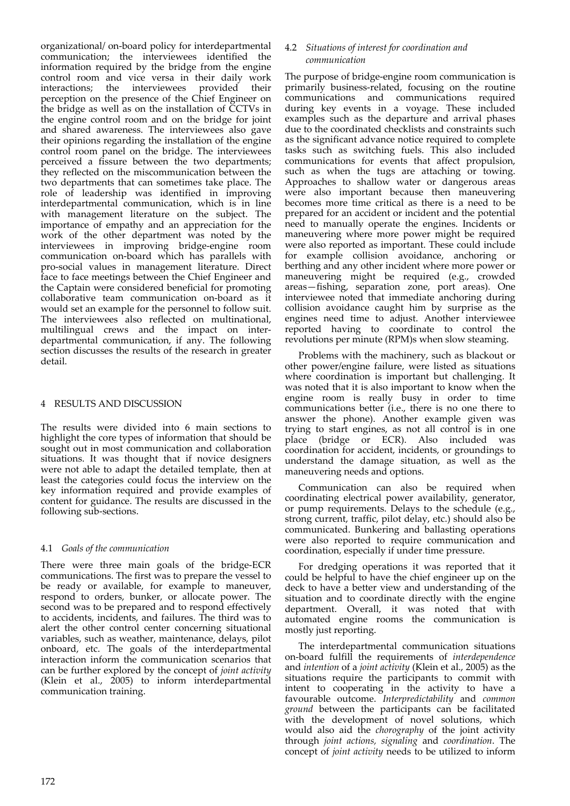organizational/ on‐board policy for interdepartmental communication; the interviewees identified the information required by the bridge from the engine control room and vice versa in their daily work<br>interactions; the interviewees provided their the interviewees perception on the presence of the Chief Engineer on the bridge as well as on the installation of CCTVs in the engine control room and on the bridge for joint and shared awareness. The interviewees also gave their opinions regarding the installation of the engine control room panel on the bridge. The interviewees perceived a fissure between the two departments; they reflected on the miscommunication between the two departments that can sometimes take place. The role of leadership was identified in improving interdepartmental communication, which is in line with management literature on the subject. The importance of empathy and an appreciation for the work of the other department was noted by the interviewees in improving bridge‐engine room communication on‐board which has parallels with pro‐social values in management literature. Direct face to face meetings between the Chief Engineer and the Captain were considered beneficial for promoting collaborative team communication on‐board as it would set an example for the personnel to follow suit. The interviewees also reflected on multinational, multilingual crews and the impact on interdepartmental communication, if any. The following section discusses the results of the research in greater detail.

# 4 RESULTS AND DISCUSSION

The results were divided into 6 main sections to highlight the core types of information that should be sought out in most communication and collaboration situations. It was thought that if novice designers were not able to adapt the detailed template, then at least the categories could focus the interview on the key information required and provide examples of content for guidance. The results are discussed in the following sub‐sections.

## 4.1 *Goals of the communication*

There were three main goals of the bridge‐ECR communications. The first was to prepare the vessel to be ready or available, for example to maneuver, respond to orders, bunker, or allocate power. The second was to be prepared and to respond effectively to accidents, incidents, and failures. The third was to alert the other control center concerning situational variables, such as weather, maintenance, delays, pilot onboard, etc. The goals of the interdepartmental interaction inform the communication scenarios that can be further explored by the concept of *joint activity* (Klein et al., 2005) to inform interdepartmental communication training.

## 4.2 *Situations of interest for coordination and communication*

The purpose of bridge‐engine room communication is primarily business‐related, focusing on the routine communications and communications required during key events in a voyage. These included examples such as the departure and arrival phases due to the coordinated checklists and constraints such as the significant advance notice required to complete tasks such as switching fuels. This also included communications for events that affect propulsion, such as when the tugs are attaching or towing. Approaches to shallow water or dangerous areas were also important because then maneuvering becomes more time critical as there is a need to be prepared for an accident or incident and the potential need to manually operate the engines. Incidents or maneuvering where more power might be required were also reported as important. These could include for example collision avoidance, anchoring or berthing and any other incident where more power or maneuvering might be required (e.g., crowded areas—fishing, separation zone, port areas). One interviewee noted that immediate anchoring during collision avoidance caught him by surprise as the engines need time to adjust. Another interviewee reported having to coordinate to control the revolutions per minute (RPM)s when slow steaming.

Problems with the machinery, such as blackout or other power/engine failure, were listed as situations where coordination is important but challenging. It was noted that it is also important to know when the engine room is really busy in order to time communications better (i.e., there is no one there to answer the phone). Another example given was trying to start engines, as not all control is in one place (bridge or ECR). Also included was coordination for accident, incidents, or groundings to understand the damage situation, as well as the maneuvering needs and options.

Communication can also be required when coordinating electrical power availability, generator, or pump requirements. Delays to the schedule (e.g., strong current, traffic, pilot delay, etc.) should also be communicated. Bunkering and ballasting operations were also reported to require communication and coordination, especially if under time pressure.

For dredging operations it was reported that it could be helpful to have the chief engineer up on the deck to have a better view and understanding of the situation and to coordinate directly with the engine department. Overall, it was noted that with automated engine rooms the communication is mostly just reporting.

The interdepartmental communication situations on‐board fulfill the requirements of *interdependence* and *intention* of a *joint activity* (Klein et al., 2005) as the situations require the participants to commit with intent to cooperating in the activity to have a favourable outcome. *Interpredictability* and *common ground* between the participants can be facilitated with the development of novel solutions, which would also aid the *chorography* of the joint activity through *joint actions, signaling* and *coordination*. The concept of *joint activity* needs to be utilized to inform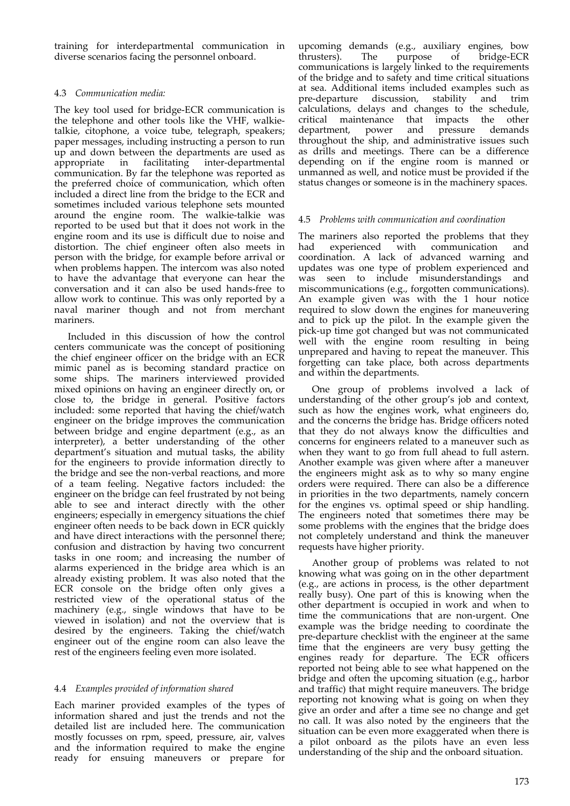training for interdepartmental communication in diverse scenarios facing the personnel onboard.

## 4.3 *Communication media:*

The key tool used for bridge‐ECR communication is the telephone and other tools like the VHF, walkietalkie, citophone, a voice tube, telegraph, speakers; paper messages, including instructing a person to run up and down between the departments are used as appropriate in facilitating inter‐departmental communication. By far the telephone was reported as the preferred choice of communication, which often included a direct line from the bridge to the ECR and sometimes included various telephone sets mounted around the engine room. The walkie‐talkie was reported to be used but that it does not work in the engine room and its use is difficult due to noise and distortion. The chief engineer often also meets in person with the bridge, for example before arrival or when problems happen. The intercom was also noted to have the advantage that everyone can hear the conversation and it can also be used hands‐free to allow work to continue. This was only reported by a naval mariner though and not from merchant mariners.

Included in this discussion of how the control centers communicate was the concept of positioning the chief engineer officer on the bridge with an ECR mimic panel as is becoming standard practice on some ships. The mariners interviewed provided mixed opinions on having an engineer directly on, or close to, the bridge in general. Positive factors included: some reported that having the chief/watch engineer on the bridge improves the communication between bridge and engine department (e.g., as an interpreter), a better understanding of the other department's situation and mutual tasks, the ability for the engineers to provide information directly to the bridge and see the non-verbal reactions, and more of a team feeling. Negative factors included: the engineer on the bridge can feel frustrated by not being able to see and interact directly with the other engineers; especially in emergency situations the chief engineer often needs to be back down in ECR quickly and have direct interactions with the personnel there; confusion and distraction by having two concurrent tasks in one room; and increasing the number of alarms experienced in the bridge area which is an already existing problem. It was also noted that the ECR console on the bridge often only gives a restricted view of the operational status of the machinery (e.g., single windows that have to be viewed in isolation) and not the overview that is desired by the engineers. Taking the chief/watch engineer out of the engine room can also leave the rest of the engineers feeling even more isolated.

# 4.4 *Examples provided of information shared*

Each mariner provided examples of the types of information shared and just the trends and not the detailed list are included here. The communication mostly focusses on rpm, speed, pressure, air, valves and the information required to make the engine ready for ensuing maneuvers or prepare for

upcoming demands (e.g., auxiliary engines, bow<br>thrusters). The purpose of bridge-ECR thrusters). The purpose of bridge‐ECR communications is largely linked to the requirements of the bridge and to safety and time critical situations at sea. Additional items included examples such as pre‐departure discussion, stability and trim calculations, delays and changes to the schedule, critical maintenance that impacts the other department, power and pressure demands throughout the ship, and administrative issues such as drills and meetings. There can be a difference depending on if the engine room is manned or unmanned as well, and notice must be provided if the status changes or someone is in the machinery spaces.

## 4.5 *Problems with communication and coordination*

The mariners also reported the problems that they<br>had experienced with communication and had experienced with communication and coordination. A lack of advanced warning and updates was one type of problem experienced and was seen to include misunderstandings and miscommunications (e.g., forgotten communications). An example given was with the 1 hour notice required to slow down the engines for maneuvering and to pick up the pilot. In the example given the pick‐up time got changed but was not communicated well with the engine room resulting in being unprepared and having to repeat the maneuver. This forgetting can take place, both across departments and within the departments.

One group of problems involved a lack of understanding of the other group's job and context, such as how the engines work, what engineers do, and the concerns the bridge has. Bridge officers noted that they do not always know the difficulties and concerns for engineers related to a maneuver such as when they want to go from full ahead to full astern. Another example was given where after a maneuver the engineers might ask as to why so many engine orders were required. There can also be a difference in priorities in the two departments, namely concern for the engines vs. optimal speed or ship handling. The engineers noted that sometimes there may be some problems with the engines that the bridge does not completely understand and think the maneuver requests have higher priority.

Another group of problems was related to not knowing what was going on in the other department (e.g., are actions in process, is the other department really busy). One part of this is knowing when the other department is occupied in work and when to time the communications that are non-urgent. One example was the bridge needing to coordinate the pre‐departure checklist with the engineer at the same time that the engineers are very busy getting the engines ready for departure. The ECR officers reported not being able to see what happened on the bridge and often the upcoming situation (e.g., harbor and traffic) that might require maneuvers. The bridge reporting not knowing what is going on when they give an order and after a time see no change and get no call. It was also noted by the engineers that the situation can be even more exaggerated when there is a pilot onboard as the pilots have an even less understanding of the ship and the onboard situation.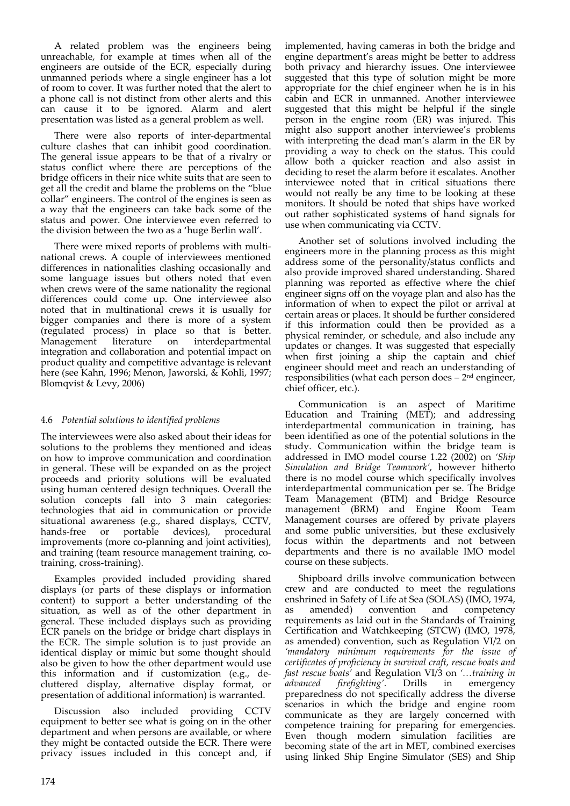A related problem was the engineers being unreachable, for example at times when all of the engineers are outside of the ECR, especially during unmanned periods where a single engineer has a lot of room to cover. It was further noted that the alert to a phone call is not distinct from other alerts and this can cause it to be ignored. Alarm and alert presentation was listed as a general problem as well.

There were also reports of inter-departmental culture clashes that can inhibit good coordination. The general issue appears to be that of a rivalry or status conflict where there are perceptions of the bridge officers in their nice white suits that are seen to get all the credit and blame the problems on the "blue collar" engineers. The control of the engines is seen as a way that the engineers can take back some of the status and power. One interviewee even referred to the division between the two as a 'huge Berlin wall'.

There were mixed reports of problems with multi‐ national crews. A couple of interviewees mentioned differences in nationalities clashing occasionally and some language issues but others noted that even when crews were of the same nationality the regional differences could come up. One interviewee also noted that in multinational crews it is usually for bigger companies and there is more of a system (regulated process) in place so that is better. Management literature on interdepartmental integration and collaboration and potential impact on product quality and competitive advantage is relevant here (see Kahn, 1996; Menon, Jaworski, & Kohli, 1997; Blomqvist & Levy, 2006)

## 4.6 *Potential solutions to identified problems*

The interviewees were also asked about their ideas for solutions to the problems they mentioned and ideas on how to improve communication and coordination in general. These will be expanded on as the project proceeds and priority solutions will be evaluated using human centered design techniques. Overall the solution concepts fall into 3 main categories: technologies that aid in communication or provide situational awareness (e.g., shared displays, CCTV, hands-free or portable devices), procedural improvements (more co-planning and joint activities), and training (team resource management training, cotraining, cross‐training).

Examples provided included providing shared displays (or parts of these displays or information content) to support a better understanding of the situation, as well as of the other department in general. These included displays such as providing ECR panels on the bridge or bridge chart displays in the ECR. The simple solution is to just provide an identical display or mimic but some thought should also be given to how the other department would use this information and if customization (e.g., de‐ cluttered display, alternative display format, or presentation of additional information) is warranted.

Discussion also included providing CCTV equipment to better see what is going on in the other department and when persons are available, or where they might be contacted outside the ECR. There were privacy issues included in this concept and, if implemented, having cameras in both the bridge and engine department's areas might be better to address both privacy and hierarchy issues. One interviewee suggested that this type of solution might be more appropriate for the chief engineer when he is in his cabin and ECR in unmanned. Another interviewee suggested that this might be helpful if the single person in the engine room (ER) was injured. This might also support another interviewee's problems with interpreting the dead man's alarm in the ER by providing a way to check on the status. This could allow both a quicker reaction and also assist in deciding to reset the alarm before it escalates. Another interviewee noted that in critical situations there would not really be any time to be looking at these monitors. It should be noted that ships have worked out rather sophisticated systems of hand signals for use when communicating via CCTV.

Another set of solutions involved including the engineers more in the planning process as this might address some of the personality/status conflicts and also provide improved shared understanding. Shared planning was reported as effective where the chief engineer signs off on the voyage plan and also has the information of when to expect the pilot or arrival at certain areas or places. It should be further considered if this information could then be provided as a physical reminder, or schedule, and also include any updates or changes. It was suggested that especially when first joining a ship the captain and chief engineer should meet and reach an understanding of responsibilities (what each person does  $-2<sup>nd</sup>$  engineer, chief officer, etc.).

Communication is an aspect of Maritime Education and Training (MET); and addressing interdepartmental communication in training, has been identified as one of the potential solutions in the study. Communication within the bridge team is addressed in IMO model course 1.22 (2002) on *'Ship Simulation and Bridge Teamwork'*, however hitherto there is no model course which specifically involves interdepartmental communication per se. The Bridge Team Management (BTM) and Bridge Resource management (BRM) and Engine Room Team Management courses are offered by private players and some public universities, but these exclusively focus within the departments and not between departments and there is no available IMO model course on these subjects.

Shipboard drills involve communication between crew and are conducted to meet the regulations enshrined in Safety of Life at Sea (SOLAS) (IMO, 1974, as amended) convention and competency requirements as laid out in the Standards of Training Certification and Watchkeeping (STCW) (IMO, 1978, as amended) convention, such as Regulation VI/2 on *'mandatory minimum requirements for the issue of certificates of proficiency in survival craft, rescue boats and fast rescue boats'* and Regulation VI/3 on *'…training in advanced firefighting'*. Drills in emergency preparedness do not specifically address the diverse scenarios in which the bridge and engine room communicate as they are largely concerned with competence training for preparing for emergencies. Even though modern simulation facilities are becoming state of the art in MET, combined exercises using linked Ship Engine Simulator (SES) and Ship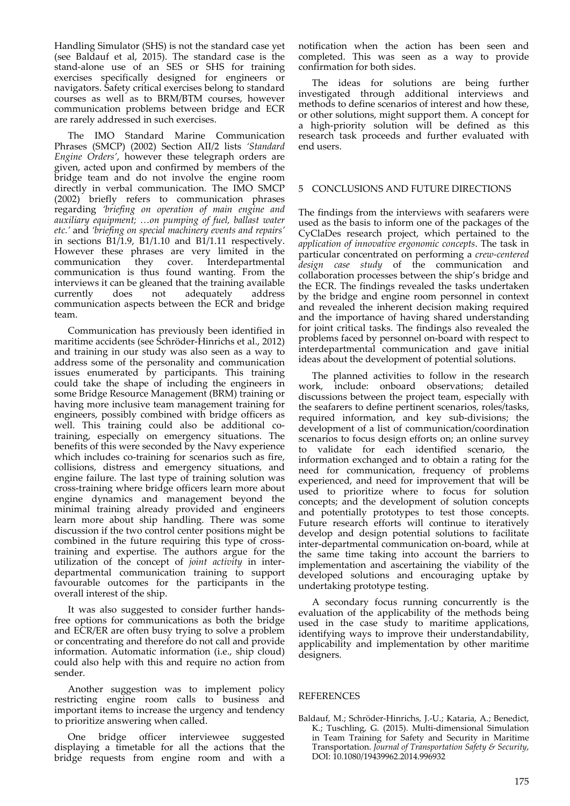Handling Simulator (SHS) is not the standard case yet (see Baldauf et al, 2015). The standard case is the stand‐alone use of an SES or SHS for training exercises specifically designed for engineers or navigators. Safety critical exercises belong to standard courses as well as to BRM/BTM courses, however communication problems between bridge and ECR are rarely addressed in such exercises.

The IMO Standard Marine Communication Phrases (SMCP) (2002) Section AII/2 lists *'Standard Engine Orders'*, however these telegraph orders are given, acted upon and confirmed by members of the bridge team and do not involve the engine room directly in verbal communication. The IMO SMCP (2002) briefly refers to communication phrases regarding *'briefing on operation of main engine and auxiliary equipment; …on pumping of fuel, ballast water etc.'* and *'briefing on special machinery events and repairs'* in sections  $\overline{B1/1.9}$ ,  $\overline{B1/1.10}$  and  $\overline{B1/1.11}$  respectively. However these phrases are very limited in the communication they cover. Interdepartmental communication is thus found wanting. From the interviews it can be gleaned that the training available currently does not adequately address communication aspects between the ECR and bridge team.

Communication has previously been identified in maritime accidents (see Schröder‐Hinrichs et al., 2012) and training in our study was also seen as a way to address some of the personality and communication issues enumerated by participants. This training could take the shape of including the engineers in some Bridge Resource Management (BRM) training or having more inclusive team management training for engineers, possibly combined with bridge officers as well. This training could also be additional cotraining, especially on emergency situations. The benefits of this were seconded by the Navy experience which includes co-training for scenarios such as fire, collisions, distress and emergency situations, and engine failure. The last type of training solution was cross‐training where bridge officers learn more about engine dynamics and management beyond the minimal training already provided and engineers learn more about ship handling. There was some discussion if the two control center positions might be combined in the future requiring this type of crosstraining and expertise. The authors argue for the utilization of the concept of *joint activity* in inter‐ departmental communication training to support favourable outcomes for the participants in the overall interest of the ship.

It was also suggested to consider further hands‐ free options for communications as both the bridge and ECR/ER are often busy trying to solve a problem or concentrating and therefore do not call and provide information. Automatic information (i.e., ship cloud) could also help with this and require no action from sender.

Another suggestion was to implement policy restricting engine room calls to business and important items to increase the urgency and tendency to prioritize answering when called.

One bridge officer interviewee suggested displaying a timetable for all the actions that the bridge requests from engine room and with a

notification when the action has been seen and completed. This was seen as a way to provide confirmation for both sides.

The ideas for solutions are being further investigated through additional interviews and methods to define scenarios of interest and how these, or other solutions, might support them. A concept for a high‐priority solution will be defined as this research task proceeds and further evaluated with end users.

#### 5 CONCLUSIONS AND FUTURE DIRECTIONS

The findings from the interviews with seafarers were used as the basis to inform one of the packages of the CyClaDes research project, which pertained to the *application of innovative ergonomic concepts*. The task in particular concentrated on performing a *crew‐centered design case study* of the communication and collaboration processes between the ship's bridge and the ECR. The findings revealed the tasks undertaken by the bridge and engine room personnel in context and revealed the inherent decision making required and the importance of having shared understanding for joint critical tasks. The findings also revealed the problems faced by personnel on‐board with respect to interdepartmental communication and gave initial ideas about the development of potential solutions.

The planned activities to follow in the research work, include: onboard observations; detailed discussions between the project team, especially with the seafarers to define pertinent scenarios, roles/tasks, required information, and key sub‐divisions; the development of a list of communication/coordination scenarios to focus design efforts on; an online survey to validate for each identified scenario, the information exchanged and to obtain a rating for the need for communication, frequency of problems experienced, and need for improvement that will be used to prioritize where to focus for solution concepts; and the development of solution concepts and potentially prototypes to test those concepts. Future research efforts will continue to iteratively develop and design potential solutions to facilitate inter‐departmental communication on‐board, while at the same time taking into account the barriers to implementation and ascertaining the viability of the developed solutions and encouraging uptake by undertaking prototype testing.

A secondary focus running concurrently is the evaluation of the applicability of the methods being used in the case study to maritime applications, identifying ways to improve their understandability, applicability and implementation by other maritime designers.

#### REFERENCES

Baldauf, M.; Schröder‐Hinrichs, J.‐U.; Kataria, A.; Benedict, K.; Tuschling, G. (2015). Multi‐dimensional Simulation in Team Training for Safety and Security in Maritime Transportation. *Journal of Transportation Safety & Security*, DOI: 10.1080/19439962.2014.996932